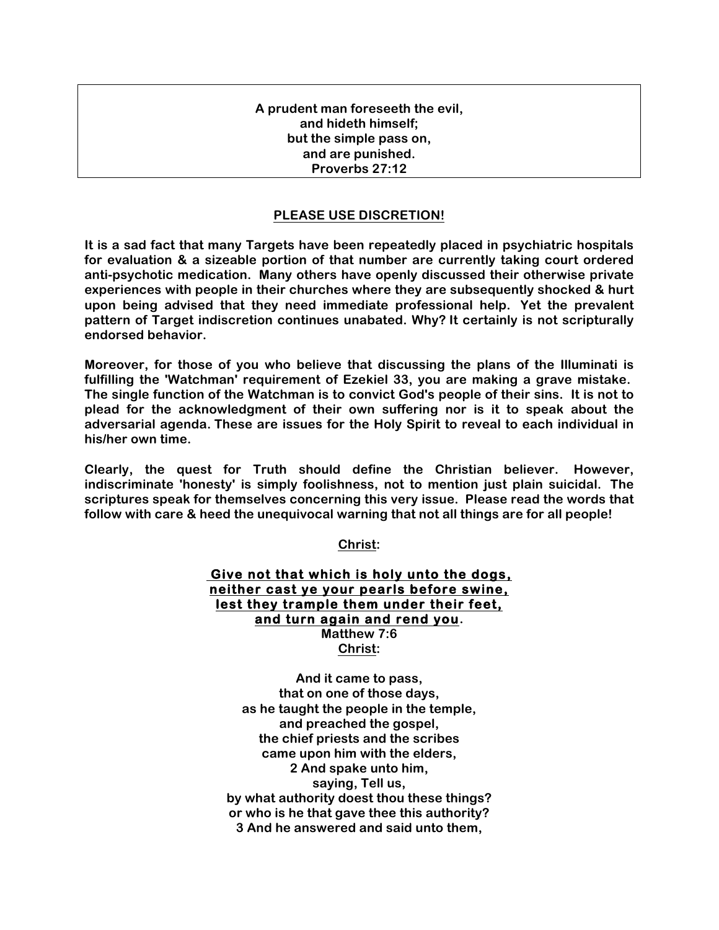## **A prudent man foreseeth the evil, and hideth himself; but the simple pass on, and are punished. Proverbs 27:12**

## **PLEASE USE DISCRETION!**

**It is a sad fact that many Targets have been repeatedly placed in psychiatric hospitals for evaluation & a sizeable portion of that number are currently taking court ordered anti-psychotic medication. Many others have openly discussed their otherwise private experiences with people in their churches where they are subsequently shocked & hurt upon being advised that they need immediate professional help. Yet the prevalent pattern of Target indiscretion continues unabated. Why? It certainly is not scripturally endorsed behavior.**

**Moreover, for those of you who believe that discussing the plans of the Illuminati is fulfilling the 'Watchman' requirement of Ezekiel 33, you are making a grave mistake. The single function of the Watchman is to convict God's people of their sins. It is not to plead for the acknowledgment of their own suffering nor is it to speak about the adversarial agenda. These are issues for the Holy Spirit to reveal to each individual in his/her own time.** 

**Clearly, the quest for Truth should define the Christian believer. However, indiscriminate 'honesty' is simply foolishness, not to mention just plain suicidal. The scriptures speak for themselves concerning this very issue. Please read the words that follow with care & heed the unequivocal warning that not all things are for all people!**

**Christ:**

 **Give not that which is holy unto the dogs, neither cast ye your pearls before swine, lest they trample them under their feet, and turn again and rend you. Matthew 7:6 Christ:**

**And it came to pass, that on one of those days, as he taught the people in the temple, and preached the gospel, the chief priests and the scribes came upon him with the elders, 2 And spake unto him, saying, Tell us, by what authority doest thou these things? or who is he that gave thee this authority? 3 And he answered and said unto them,**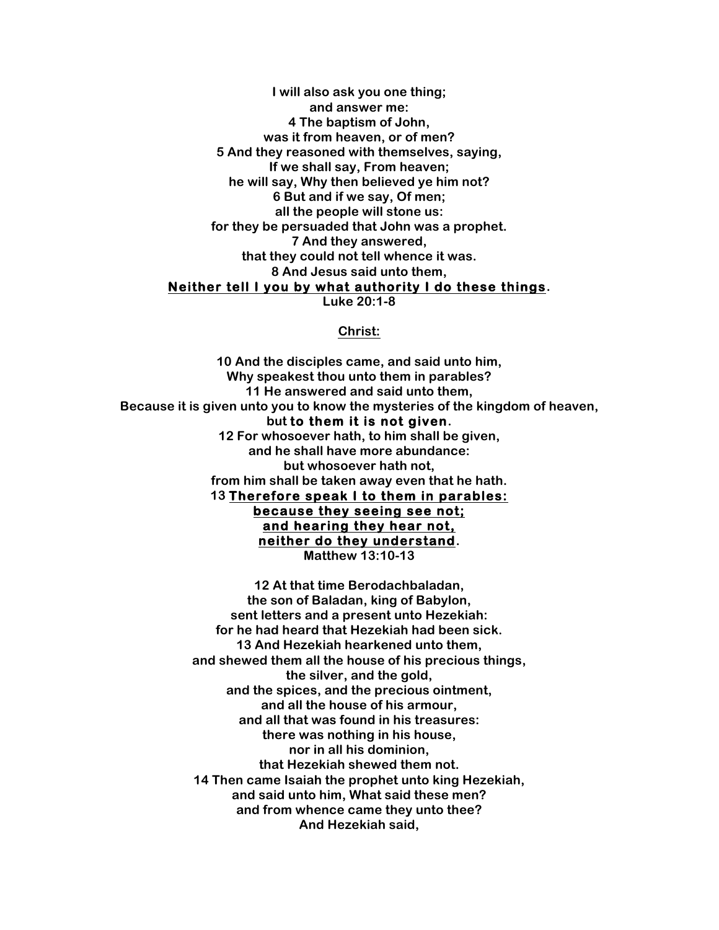**I will also ask you one thing; and answer me: 4 The baptism of John, was it from heaven, or of men? 5 And they reasoned with themselves, saying, If we shall say, From heaven; he will say, Why then believed ye him not? 6 But and if we say, Of men; all the people will stone us: for they be persuaded that John was a prophet. 7 And they answered, that they could not tell whence it was. 8 And Jesus said unto them, Neither tell I you by what authority I do these things. Luke 20:1-8**

## **Christ:**

**10 And the disciples came, and said unto him, Why speakest thou unto them in parables? 11 He answered and said unto them, Because it is given unto you to know the mysteries of the kingdom of heaven, but to them it is not given. 12 For whosoever hath, to him shall be given, and he shall have more abundance: but whosoever hath not, from him shall be taken away even that he hath. 13 Therefore speak I to them in parables: because they seeing see not; and hearing they hear not, neither do they understand. Matthew 13:10-13**

> **12 At that time Berodachbaladan, the son of Baladan, king of Babylon, sent letters and a present unto Hezekiah: for he had heard that Hezekiah had been sick. 13 And Hezekiah hearkened unto them, and shewed them all the house of his precious things, the silver, and the gold, and the spices, and the precious ointment, and all the house of his armour, and all that was found in his treasures: there was nothing in his house, nor in all his dominion, that Hezekiah shewed them not. 14 Then came Isaiah the prophet unto king Hezekiah, and said unto him, What said these men? and from whence came they unto thee? And Hezekiah said,**